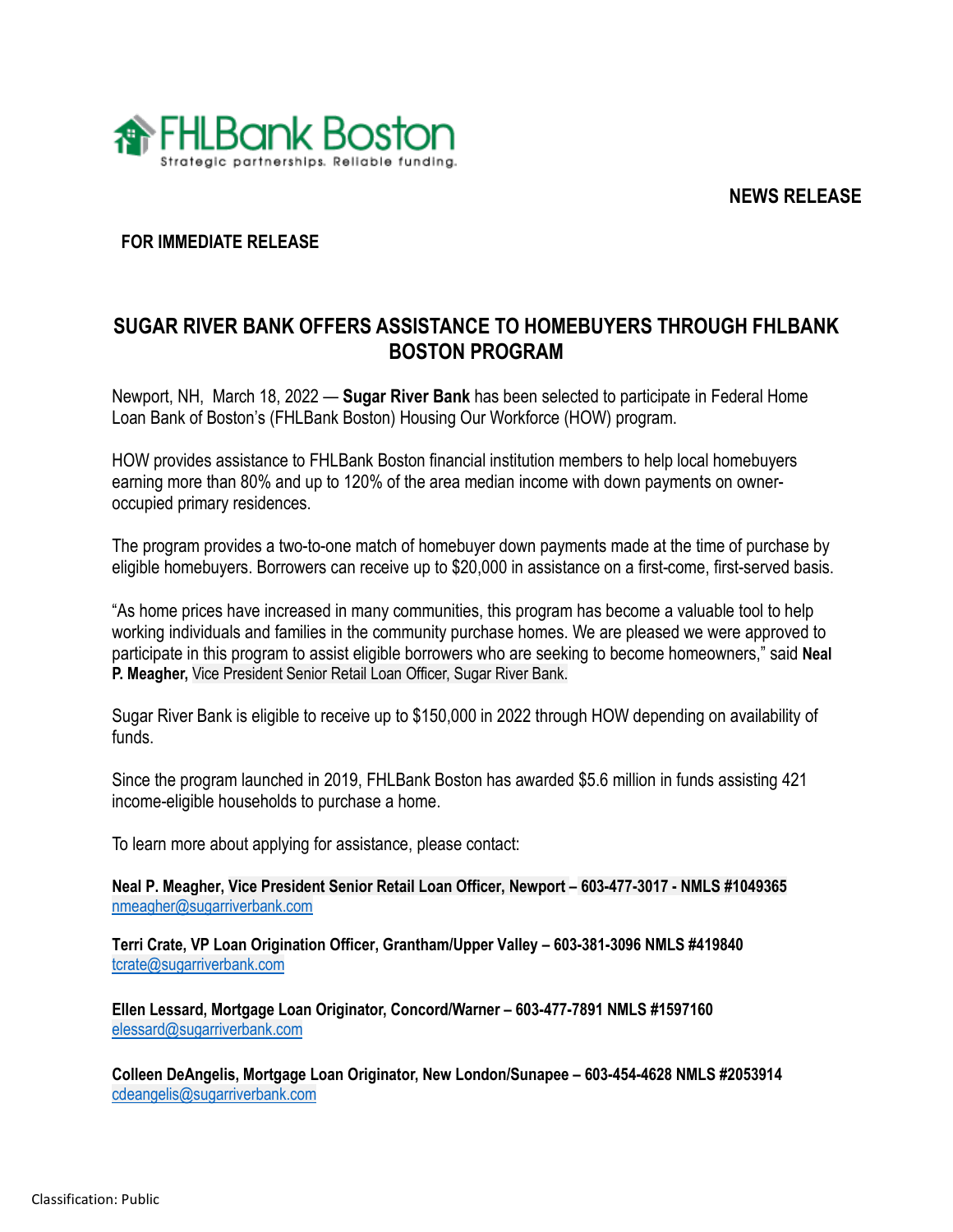**NEWS RELEASE**



## **FOR IMMEDIATE RELEASE**

# **SUGAR RIVER BANK OFFERS ASSISTANCE TO HOMEBUYERS THROUGH FHLBANK BOSTON PROGRAM**

Newport, NH, March 18, 2022 — **Sugar River Bank** has been selected to participate in Federal Home Loan Bank of Boston's (FHLBank Boston) Housing Our Workforce (HOW) program.

HOW provides assistance to FHLBank Boston financial institution members to help local homebuyers earning more than 80% and up to 120% of the area median income with down payments on owneroccupied primary residences.

The program provides a two-to-one match of homebuyer down payments made at the time of purchase by eligible homebuyers. Borrowers can receive up to \$20,000 in assistance on a first-come, first-served basis.

"As home prices have increased in many communities, this program has become a valuable tool to help working individuals and families in the community purchase homes. We are pleased we were approved to participate in this program to assist eligible borrowers who are seeking to become homeowners," said **Neal P. Meagher,** Vice President Senior Retail Loan Officer, Sugar River Bank.

Sugar River Bank is eligible to receive up to \$150,000 in 2022 through HOW depending on availability of funds.

Since the program launched in 2019, FHLBank Boston has awarded \$5.6 million in funds assisting 421 income-eligible households to purchase a home.

To learn more about applying for assistance, please contact:

**Neal P. Meagher, Vice President Senior Retail Loan Officer, Newport – 603-477-3017 - NMLS #1049365**  [nmeagher@sugarriverbank.com](mailto:nmeagher@sugarriverbank.com)

**Terri Crate, VP Loan Origination Officer, Grantham/Upper Valley – 603-381-3096 NMLS #419840** [tcrate@sugarriverbank.com](mailto:tcrate@sugarriverbank.com)

**Ellen Lessard, Mortgage Loan Originator, Concord/Warner – 603-477-7891 NMLS #1597160** [elessard@sugarriverbank.com](mailto:elessard@sugarriverbank.com)

**Colleen DeAngelis, Mortgage Loan Originator, New London/Sunapee – 603-454-4628 NMLS #2053914** [cdeangelis@sugarriverbank.com](mailto:cdeangelis@sugarriverbank.com)